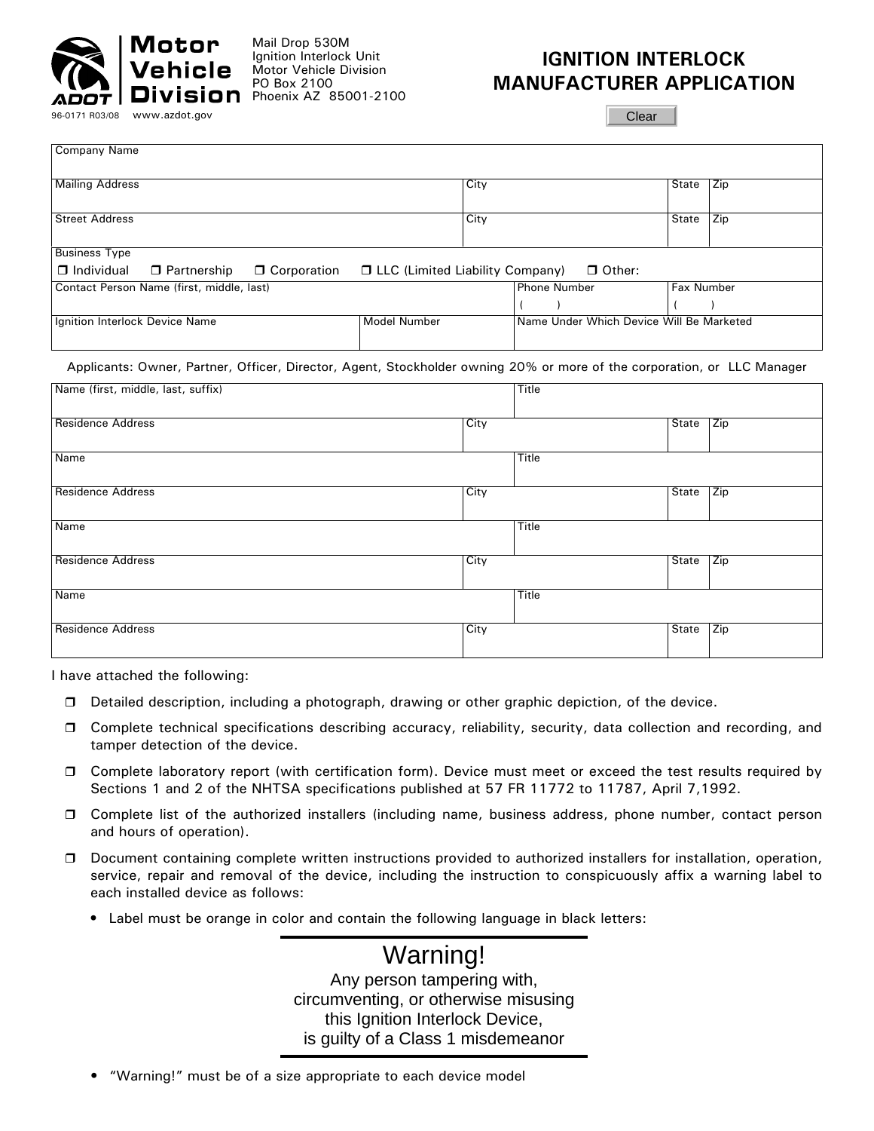

Company Name

Mail Drop 530M Ignition Interlock Unit Motor Vehicle Division PO Box 2100  $Division$  Phoenix AZ 85001-2100

## **IGNITION INTERLOCK MANUFACTURER APPLICATION**

Clear

| <b>Mailing Address</b>                    |                                |               |                                 | City |                                          | State | Zip |
|-------------------------------------------|--------------------------------|---------------|---------------------------------|------|------------------------------------------|-------|-----|
| <b>Street Address</b>                     |                                |               |                                 | City |                                          | State | Zip |
| <b>Business Type</b>                      |                                |               |                                 |      |                                          |       |     |
| $\Box$ Individual                         | $\Box$ Partnership             | □ Corporation | LLC (Limited Liability Company) |      | $\Box$ Other:                            |       |     |
| Contact Person Name (first, middle, last) |                                |               | <b>Phone Number</b>             |      | <b>Fax Number</b>                        |       |     |
|                                           |                                |               |                                 |      |                                          |       |     |
|                                           | Ignition Interlock Device Name |               | <b>Model Number</b>             |      | Name Under Which Device Will Be Marketed |       |     |

## Applicants: Owner, Partner, Officer, Director, Agent, Stockholder owning 20% or more of the corporation, or LLC Manager

| Name (first, middle, last, suffix) |      | Title |       |     |
|------------------------------------|------|-------|-------|-----|
| <b>Residence Address</b>           | City |       | State | Zip |
| Name                               |      | Title |       |     |
| <b>Residence Address</b>           | City |       | State | Zip |
| Name                               |      | Title |       |     |
| <b>Residence Address</b>           | City |       | State | Zip |
| Name                               |      | Title |       |     |
| <b>Residence Address</b>           | City |       | State | Zip |

I have attached the following:

- Detailed description, including a photograph, drawing or other graphic depiction, of the device.
- Complete technical specifications describing accuracy, reliability, security, data collection and recording, and tamper detection of the device.
- □ Complete laboratory report (with certification form). Device must meet or exceed the test results required by Sections 1 and 2 of the NHTSA specifications published at 57 FR 11772 to 11787, April 7,1992.
- Complete list of the authorized installers (including name, business address, phone number, contact person and hours of operation).
- Document containing complete written instructions provided to authorized installers for installation, operation, service, repair and removal of the device, including the instruction to conspicuously affix a warning label to each installed device as follows:
	- Label must be orange in color and contain the following language in black letters:

Warning! Any person tampering with, circumventing, or otherwise misusing this Ignition Interlock Device, is guilty of a Class 1 misdemeanor

• "Warning!" must be of a size appropriate to each device model